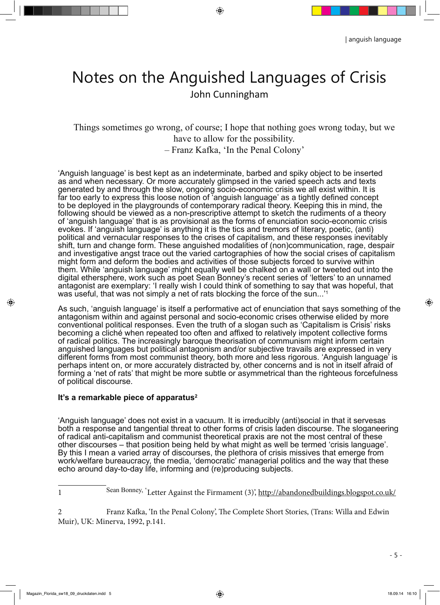## Notes on the Anguished Languages of Crisis John Cunningham

 $\bigcirc$ 

Things sometimes go wrong, of course; I hope that nothing goes wrong today, but we have to allow for the possibility. – Franz Kafka, 'In the Penal Colony'

'Anguish language' is best kept as an indeterminate, barbed and spiky object to be inserted as and when necessary. Or more accurately glimpsed in the varied speech acts and texts generated by and through the slow, ongoing socio-economic crisis we all exist within. It is far too early to express this loose notion of <sup>t</sup>anguish language' as a tightly defined concept to be deployed in the playgrounds of contemporary radical theory. Keeping this in mind, the following should be viewed as a non-prescriptive attempt to sketch the rudiments of a theory of 'anguish language' that is as provisional as the forms of enunciation socio-economic crisis evokes. If 'anguish language' is anything it is the tics and tremors of literary, poetic, (anti) political and vernacular responses to the crises of capitalism, and these responses inevitably shift, turn and change form. These anguished modalities of (non)communication, rage, despair and investigative angst trace out the varied cartographies of how the social crises of capitalism might form and deform the bodies and activities of those subjects forced to survive within them. While 'anguish language' might equally well be chalked on a wall or tweeted out into the digital ethersphere, work such as poet Sean Bonney's recent series of 'letters' to an unnamed antagonist are exemplary: 'I really wish I could think of something to say that was hopeful, that was useful, that was not simply a net of rats blocking the force of the sun...'

As such, 'anguish language' is itself a performative act of enunciation that says something of the antagonism within and against personal and socio-economic crises otherwise elided by more conventional political responses. Even the truth of a slogan such as 'Capitalism is Crisis' risks becoming a cliché when repeated too often and affixed to relatively impotent collective forms of radical politics. The increasingly baroque theorisation of communism might inform certain anguished languages but political antagonism and/or subjective travails are expressed in very different forms from most communist theory, both more and less rigorous. 'Anguish language' is perhaps intent on, or more accurately distracted by, other concerns and is not in itself afraid of forming a 'net of rats' that might be more subtle or asymmetrical than the righteous forcefulness of political discourse.

## **It's a remarkable piece of apparatus2**

'Anguish language' does not exist in a vacuum. It is irreducibly (anti)social in that it servesas both a response and tangential threat to other forms of crisis laden discourse. The sloganeering of radical anti-capitalism and communist theoretical praxis are not the most central of these other discourses – that position being held by what might as well be termed 'crisis language'. By this I mean a varied array of discourses, the plethora of crisis missives that emerge from work/welfare bureaucracy, the media, 'democratic' managerial politics and the way that these echo around day-to-day life, informing and (re)producing subjects.

◈

1 Sean Bonney, 'Letter Against the Firmament (3)', http://abandonedbuildings.blogspot.co.uk/

Franz Kafka, 'In the Penal Colony', The Complete Short Stories, (Trans: Willa and Edwin Muir), UK: Minerva, 1992, p.141.

◈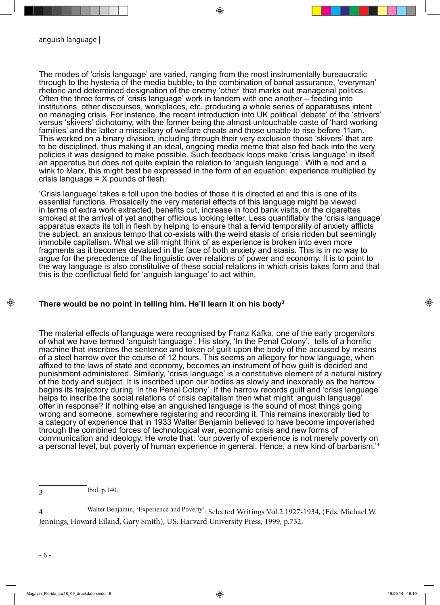The modes of 'crisis language' are varied, ranging from the most instrumentally bureaucratic through to the hysteria of the media bubble, to the combination of banal assurance, 'everyman' rhetoric and determined designation of the enemy 'other' that marks out managerial politics. Often the three forms of 'crisis language' work in tandem with one another – feeding into institutions, other discourses, workplaces, etc. producing a whole series of apparatuses intent on managing crisis. For instance, the recent introduction into UK political 'debate' of the 'strivers' versus 'skivers' dichotomy, with the former being the almost untouchable caste of 'hard working families' and the latter a miscellany of welfare cheats and those unable to rise before 11am. This worked on a binary division, including through their very exclusion those 'skivers' that are to be disciplined, thus making it an ideal, ongoing media meme that also fed back into the very policies it was designed to make possible. Such feedback loops make 'crisis language' in itself an apparatus but does not quite explain the relation to 'anguish language'. With a nod and a wink to Marx, this might best be expressed in the form of an equation: experience multiplied by crisis language  $= X$  pounds of flesh.

⊕

'Crisis language' takes a toll upon the bodies of those it is directed at and this is one of its essential functions. Prosaically the very material effects of this language might be viewed in terms of extra work extracted, benefits cut, increase in food bank visits, or the cigarettes smoked at the arrival of yet another officious looking letter. Less quantifiably the 'crisis language' apparatus exacts its toll in flesh by helping to ensure that a fervid temporality of anxiety afflicts the subject, an anxious tempo that co-exists with the weird stasis of crisis ridden but seemingly immobile capitalism. What we still might think of as experience is broken into even more fragments as it becomes devalued in the face of both anxiety and stasis. This is in no way to argue for the precedence of the linguistic over relations of power and economy. It is to point to the way language is also constitutive of these social relations in which crisis takes form and that this is the conflictual field for 'anguish language' to act within.

## **There would be no point in telling him. He'll learn it on his body3**

The material effects of language were recognised by Franz Kafka, one of the early progenitors of what we have termed 'anguish language'. His story, 'In the Penal Colony', tells of a horrific machine that inscribes the sentence and token of guilt upon the body of the accused by means of a steel harrow over the course of 12 hours. This seems an allegory for how language, when affixed to the laws of state and economy, becomes an instrument of how guilt is decided and punishment administered. Similarly, 'crisis language' is a constitutive element of a natural history of the body and subject. It is inscribed upon our bodies as slowly and inexorably as the harrow begins its trajectory during 'In the Penal Colony'. If the harrow records guilt and 'crisis language' helps to inscribe the social relations of crisis capitalism then what might 'anguish language' offer in response? If nothing else an anguished language is the sound of most things going wrong and someone, somewhere registering and recording it. This remains inexorably tied to a category of experience that in 1933 Walter Benjamin believed to have become impoverished through the combined forces of technological war, economic crisis and new forms of communication and ideology. He wrote that: 'our poverty of experience is not merely poverty on a personal level, but poverty of human experience in general. Hence, a new kind of barbarism.'4

3 Ibid, p.140.

4 Walter Benjamin, 'Experience and Poverty', Selected Writings Vol.2 1927-1934, (Eds. Michael W. Jennings, Howard Eiland, Gary Smith), US: Harvard University Press, 1999, p.732.

◈

◈